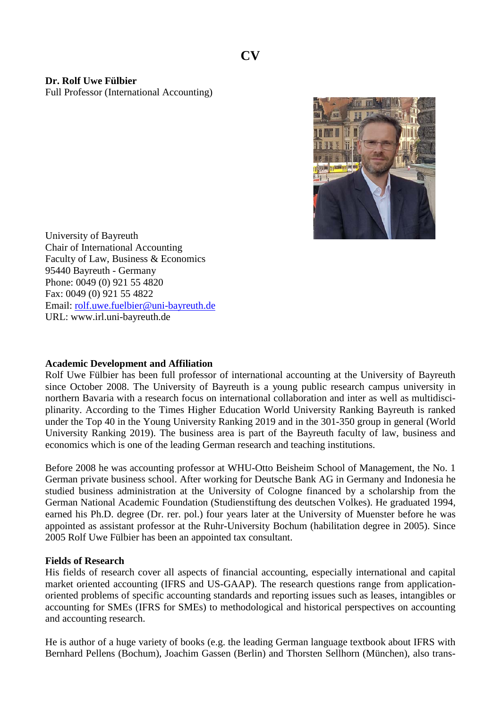**Dr. Rolf Uwe Fülbier** Full Professor (International Accounting)



University of Bayreuth Chair of International Accounting Faculty of Law, Business & Economics 95440 Bayreuth - Germany Phone: 0049 (0) 921 55 4820 Fax: 0049 (0) 921 55 4822 Email: [rolf.uwe.fuelbier@uni-bayreuth.de](mailto:rolf.uwe.fuelbier@uni-bayreuth.de) URL: www.irl.uni-bayreuth.de

## **Academic Development and Affiliation**

Rolf Uwe Fülbier has been full professor of international accounting at the University of Bayreuth since October 2008. The University of Bayreuth is a young public research campus university in northern Bavaria with a research focus on international collaboration and inter as well as multidisciplinarity. According to the Times Higher Education World University Ranking Bayreuth is ranked under the Top 40 in the Young University Ranking 2019 and in the 301-350 group in general (World University Ranking 2019). The business area is part of the Bayreuth faculty of law, business and economics which is one of the leading German research and teaching institutions.

Before 2008 he was accounting professor at WHU-Otto Beisheim School of Management, the No. 1 German private business school. After working for Deutsche Bank AG in Germany and Indonesia he studied business administration at the University of Cologne financed by a scholarship from the German National Academic Foundation (Studienstiftung des deutschen Volkes). He graduated 1994, earned his Ph.D. degree (Dr. rer. pol.) four years later at the University of Muenster before he was appointed as assistant professor at the Ruhr-University Bochum (habilitation degree in 2005). Since 2005 Rolf Uwe Fülbier has been an appointed tax consultant.

## **Fields of Research**

His fields of research cover all aspects of financial accounting, especially international and capital market oriented accounting (IFRS and US-GAAP). The research questions range from applicationoriented problems of specific accounting standards and reporting issues such as leases, intangibles or accounting for SMEs (IFRS for SMEs) to methodological and historical perspectives on accounting and accounting research.

He is author of a huge variety of books (e.g. the leading German language textbook about IFRS with Bernhard Pellens (Bochum), Joachim Gassen (Berlin) and Thorsten Sellhorn (München), also trans